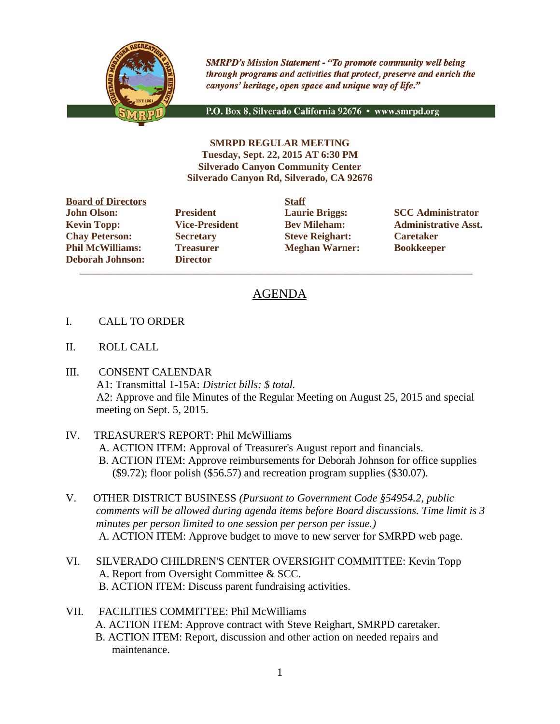

**SMRPD's Mission Statement - "To promote community well being** through programs and activities that protect, preserve and enrich the canyons' heritage, open space and unique way of life."

P.O. Box 8, Silverado California 92676 · www.smrpd.org

**SMRPD REGULAR MEETING Tuesday, Sept. 22, 2015 AT 6:30 PM Silverado Canyon Community Center Silverado Canyon Rd, Silverado, CA 92676**

**Board of Directors Staff John Olson: President Laurie Briggs: SCC Administrator Chay Peterson: Secretary Steve Reighart: Caretaker Phil McWilliams: Treasurer Meghan Warner: Bookkeeper Deborah Johnson: Director**

 $\overline{\phantom{a}}$  ,  $\overline{\phantom{a}}$  ,  $\overline{\phantom{a}}$  ,  $\overline{\phantom{a}}$  ,  $\overline{\phantom{a}}$  ,  $\overline{\phantom{a}}$  ,  $\overline{\phantom{a}}$  ,  $\overline{\phantom{a}}$  ,  $\overline{\phantom{a}}$  ,  $\overline{\phantom{a}}$  ,  $\overline{\phantom{a}}$  ,  $\overline{\phantom{a}}$  ,  $\overline{\phantom{a}}$  ,  $\overline{\phantom{a}}$  ,  $\overline{\phantom{a}}$  ,  $\overline{\phantom{a}}$ 

**Kevin Topp: Vice-President Bev Mileham: Administrative Asst.**

# AGENDA

- I. CALL TO ORDER
- II. ROLL CALL
- III. CONSENT CALENDAR A1: Transmittal 1-15A: *District bills: \$ total.* A2: Approve and file Minutes of the Regular Meeting on August 25, 2015 and special meeting on Sept. 5, 2015.

## IV. TREASURER'S REPORT: Phil McWilliams A. ACTION ITEM: Approval of Treasurer's August report and financials. B. ACTION ITEM: Approve reimbursements for Deborah Johnson for office supplies (\$9.72); floor polish (\$56.57) and recreation program supplies (\$30.07).

- V. OTHER DISTRICT BUSINESS *(Pursuant to Government Code §54954.2, public comments will be allowed during agenda items before Board discussions. Time limit is 3 minutes per person limited to one session per person per issue.)* A. ACTION ITEM: Approve budget to move to new server for SMRPD web page.
- VI. SILVERADO CHILDREN'S CENTER OVERSIGHT COMMITTEE: Kevin Topp A. Report from Oversight Committee & SCC. B. ACTION ITEM: Discuss parent fundraising activities.
- VII. FACILITIES COMMITTEE: Phil McWilliams A. ACTION ITEM: Approve contract with Steve Reighart, SMRPD caretaker. B. ACTION ITEM: Report, discussion and other action on needed repairs and maintenance.